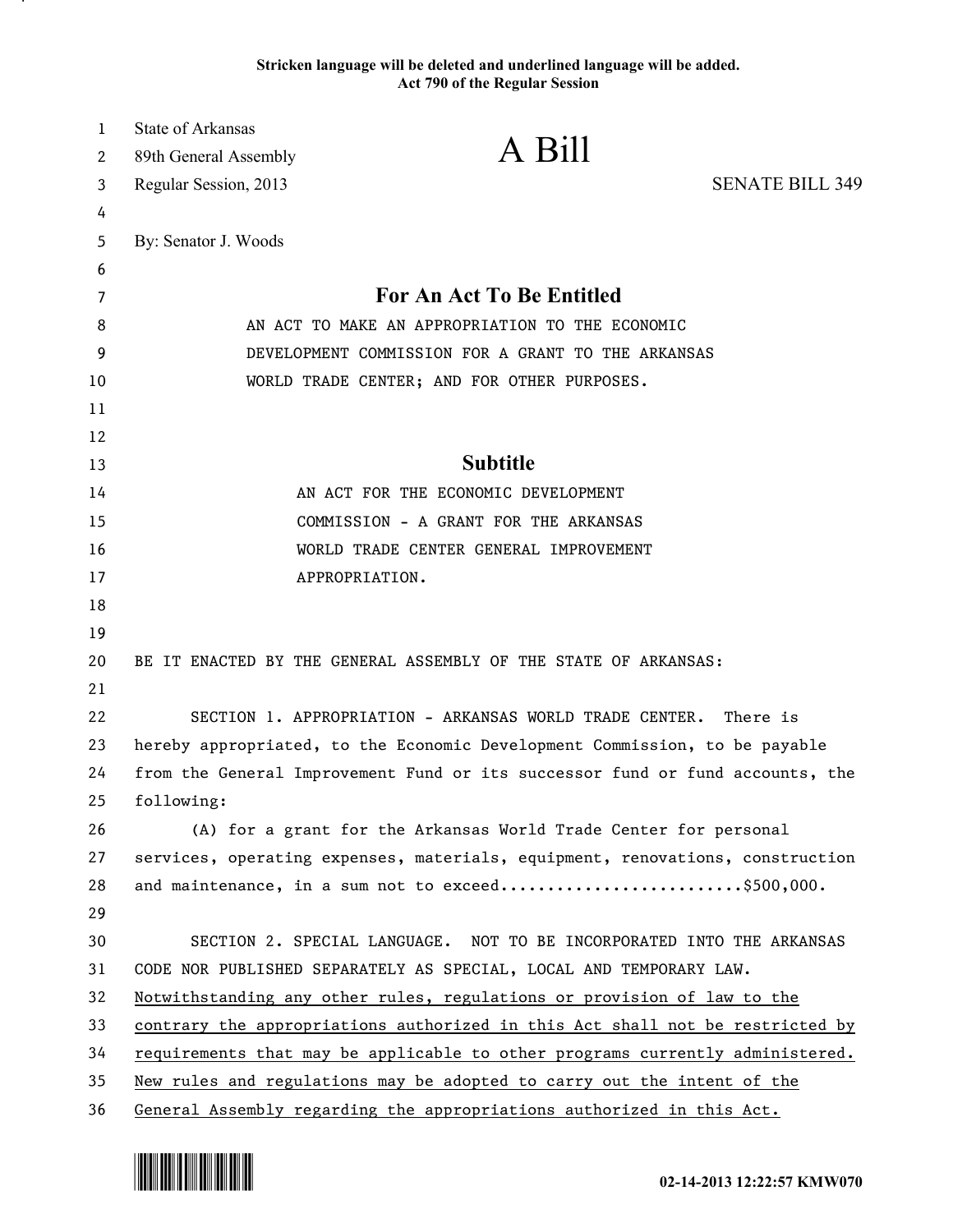## **Stricken language will be deleted and underlined language will be added. Act 790 of the Regular Session**

| 1  | <b>State of Arkansas</b> |                                                                               |                        |
|----|--------------------------|-------------------------------------------------------------------------------|------------------------|
| 2  | 89th General Assembly    | A Bill                                                                        |                        |
| 3  | Regular Session, 2013    |                                                                               | <b>SENATE BILL 349</b> |
| 4  |                          |                                                                               |                        |
| 5  | By: Senator J. Woods     |                                                                               |                        |
| 6  |                          |                                                                               |                        |
| 7  |                          | For An Act To Be Entitled                                                     |                        |
| 8  |                          | AN ACT TO MAKE AN APPROPRIATION TO THE ECONOMIC                               |                        |
| 9  |                          | DEVELOPMENT COMMISSION FOR A GRANT TO THE ARKANSAS                            |                        |
| 10 |                          | WORLD TRADE CENTER; AND FOR OTHER PURPOSES.                                   |                        |
| 11 |                          |                                                                               |                        |
| 12 |                          |                                                                               |                        |
| 13 |                          | <b>Subtitle</b>                                                               |                        |
| 14 |                          | AN ACT FOR THE ECONOMIC DEVELOPMENT                                           |                        |
| 15 |                          | COMMISSION - A GRANT FOR THE ARKANSAS                                         |                        |
| 16 |                          | WORLD TRADE CENTER GENERAL IMPROVEMENT                                        |                        |
| 17 |                          | APPROPRIATION.                                                                |                        |
| 18 |                          |                                                                               |                        |
| 19 |                          |                                                                               |                        |
| 20 |                          | BE IT ENACTED BY THE GENERAL ASSEMBLY OF THE STATE OF ARKANSAS:               |                        |
| 21 |                          |                                                                               |                        |
| 22 |                          | SECTION 1. APPROPRIATION - ARKANSAS WORLD TRADE CENTER.                       | There is               |
| 23 |                          | hereby appropriated, to the Economic Development Commission, to be payable    |                        |
| 24 |                          | from the General Improvement Fund or its successor fund or fund accounts, the |                        |
| 25 | following:               |                                                                               |                        |
| 26 |                          | (A) for a grant for the Arkansas World Trade Center for personal              |                        |
| 27 |                          | services, operating expenses, materials, equipment, renovations, construction |                        |
| 28 |                          | and maintenance, in a sum not to exceed\$500,000.                             |                        |
| 29 |                          |                                                                               |                        |
| 30 |                          | SECTION 2. SPECIAL LANGUAGE. NOT TO BE INCORPORATED INTO THE ARKANSAS         |                        |
| 31 |                          | CODE NOR PUBLISHED SEPARATELY AS SPECIAL, LOCAL AND TEMPORARY LAW.            |                        |
| 32 |                          | Notwithstanding any other rules, regulations or provision of law to the       |                        |
| 33 |                          | contrary the appropriations authorized in this Act shall not be restricted by |                        |
| 34 |                          | requirements that may be applicable to other programs currently administered. |                        |
| 35 |                          | New rules and regulations may be adopted to carry out the intent of the       |                        |
| 36 |                          | General Assembly regarding the appropriations authorized in this Act.         |                        |



.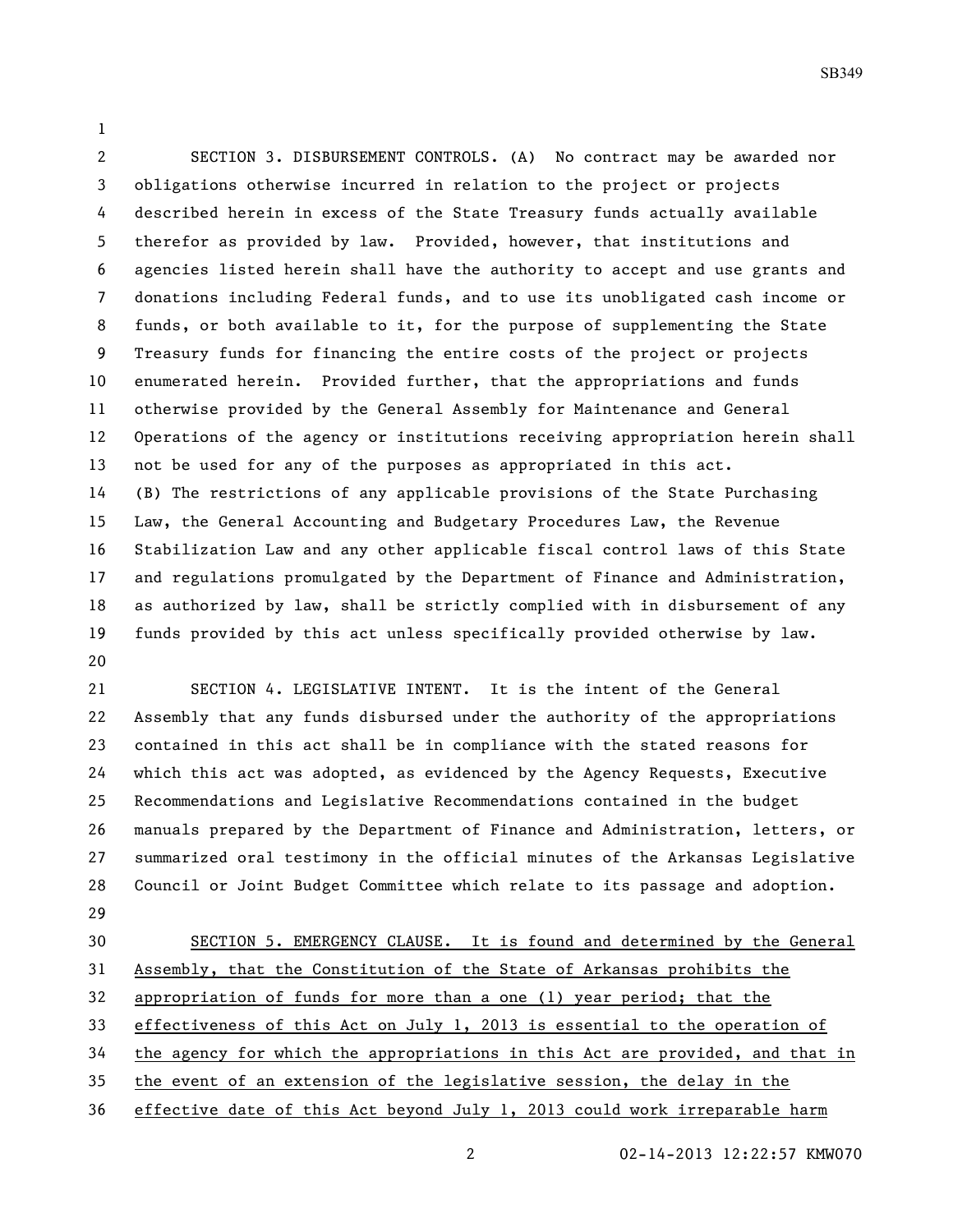SB349

 SECTION 3. DISBURSEMENT CONTROLS. (A) No contract may be awarded nor obligations otherwise incurred in relation to the project or projects described herein in excess of the State Treasury funds actually available therefor as provided by law. Provided, however, that institutions and agencies listed herein shall have the authority to accept and use grants and donations including Federal funds, and to use its unobligated cash income or funds, or both available to it, for the purpose of supplementing the State Treasury funds for financing the entire costs of the project or projects enumerated herein. Provided further, that the appropriations and funds otherwise provided by the General Assembly for Maintenance and General Operations of the agency or institutions receiving appropriation herein shall not be used for any of the purposes as appropriated in this act. (B) The restrictions of any applicable provisions of the State Purchasing Law, the General Accounting and Budgetary Procedures Law, the Revenue Stabilization Law and any other applicable fiscal control laws of this State and regulations promulgated by the Department of Finance and Administration, as authorized by law, shall be strictly complied with in disbursement of any funds provided by this act unless specifically provided otherwise by law. 

 SECTION 4. LEGISLATIVE INTENT. It is the intent of the General Assembly that any funds disbursed under the authority of the appropriations contained in this act shall be in compliance with the stated reasons for which this act was adopted, as evidenced by the Agency Requests, Executive Recommendations and Legislative Recommendations contained in the budget manuals prepared by the Department of Finance and Administration, letters, or summarized oral testimony in the official minutes of the Arkansas Legislative Council or Joint Budget Committee which relate to its passage and adoption. 

 SECTION 5. EMERGENCY CLAUSE. It is found and determined by the General Assembly, that the Constitution of the State of Arkansas prohibits the appropriation of funds for more than a one (1) year period; that the effectiveness of this Act on July 1, 2013 is essential to the operation of the agency for which the appropriations in this Act are provided, and that in the event of an extension of the legislative session, the delay in the effective date of this Act beyond July 1, 2013 could work irreparable harm

02-14-2013 12:22:57 KMW070